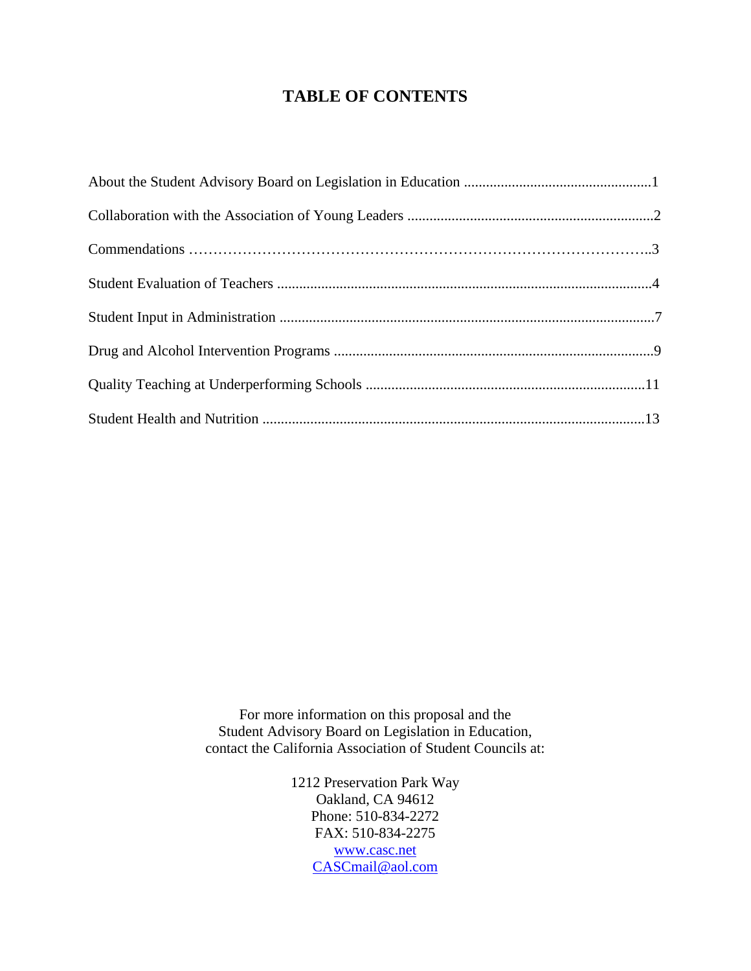# **TABLE OF CONTENTS**

For more information on this proposal and the Student Advisory Board on Legislation in Education, contact the California Association of Student Councils at:

> 1212 Preservation Park Way Oakland, CA 94612 Phone: 510-834-2272 FAX: 510-834-2275 [www.casc.net](http://www.casc.net) [CASCmail@aol.com](mailto:CASCmail@aol.com)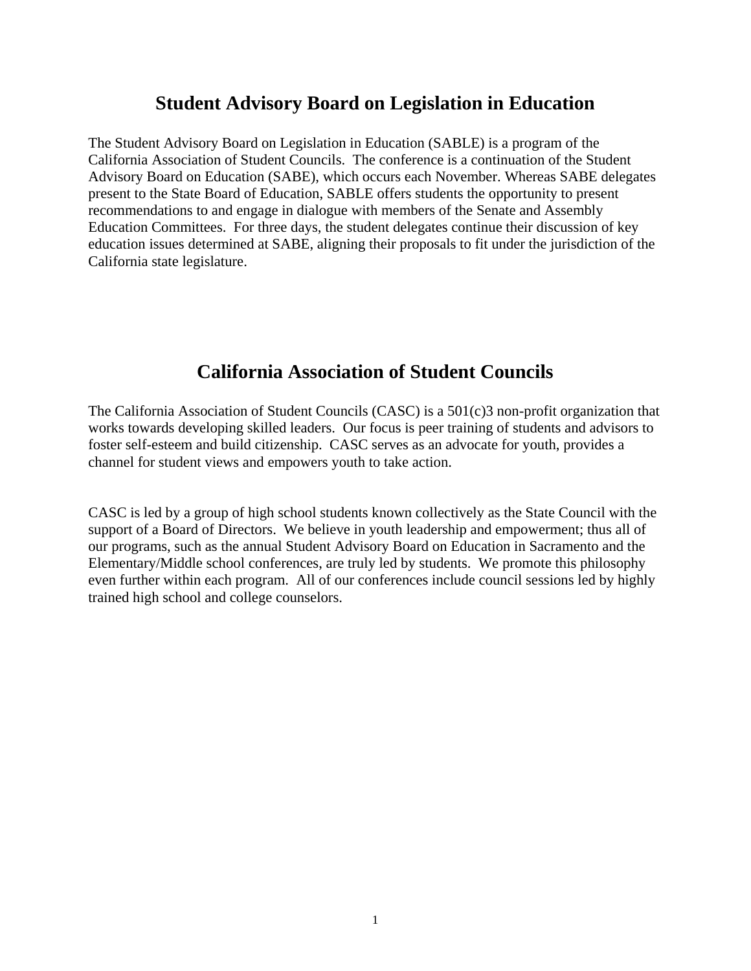# **Student Advisory Board on Legislation in Education**

<span id="page-1-0"></span>The Student Advisory Board on Legislation in Education (SABLE) is a program of the California Association of Student Councils. The conference is a continuation of the Student Advisory Board on Education (SABE), which occurs each November. Whereas SABE delegates present to the State Board of Education, SABLE offers students the opportunity to present recommendations to and engage in dialogue with members of the Senate and Assembly Education Committees. For three days, the student delegates continue their discussion of key education issues determined at SABE, aligning their proposals to fit under the jurisdiction of the California state legislature.

# **California Association of Student Councils**

The California Association of Student Councils (CASC) is a 501(c)3 non-profit organization that works towards developing skilled leaders. Our focus is peer training of students and advisors to foster self-esteem and build citizenship. CASC serves as an advocate for youth, provides a channel for student views and empowers youth to take action.

CASC is led by a group of high school students known collectively as the State Council with the support of a Board of Directors. We believe in youth leadership and empowerment; thus all of our programs, such as the annual Student Advisory Board on Education in Sacramento and the Elementary/Middle school conferences, are truly led by students. We promote this philosophy even further within each program. All of our conferences include council sessions led by highly trained high school and college counselors.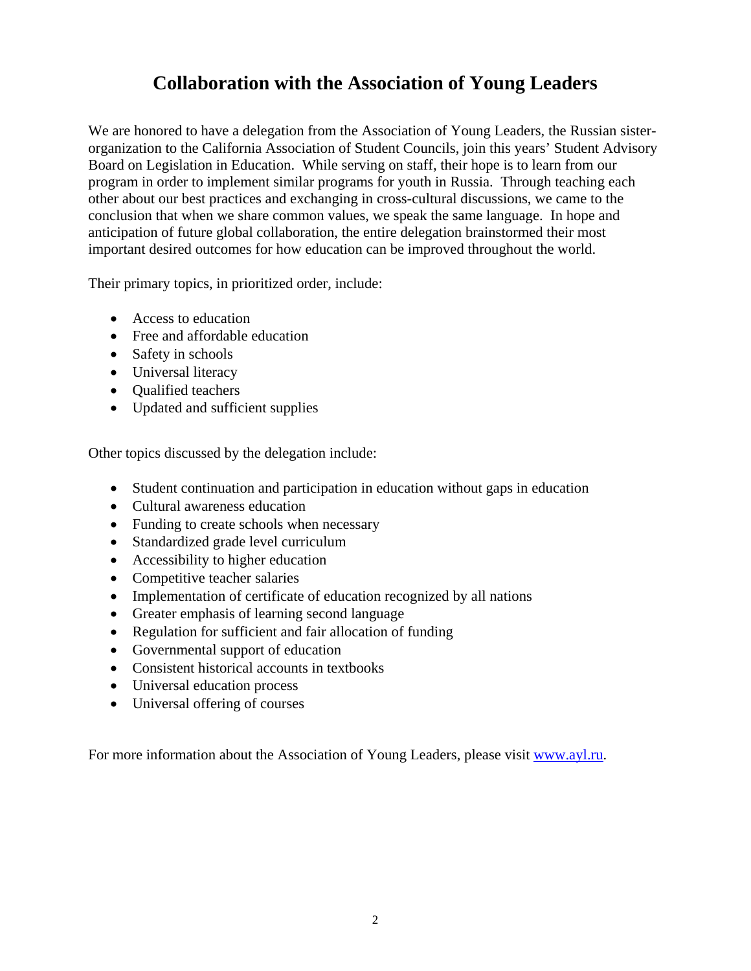# **Collaboration with the Association of Young Leaders**

<span id="page-2-0"></span>We are honored to have a delegation from the Association of Young Leaders, the Russian sisterorganization to the California Association of Student Councils, join this years' Student Advisory Board on Legislation in Education. While serving on staff, their hope is to learn from our program in order to implement similar programs for youth in Russia. Through teaching each other about our best practices and exchanging in cross-cultural discussions, we came to the conclusion that when we share common values, we speak the same language. In hope and anticipation of future global collaboration, the entire delegation brainstormed their most important desired outcomes for how education can be improved throughout the world.

Their primary topics, in prioritized order, include:

- Access to education
- Free and affordable education
- Safety in schools
- Universal literacy
- Qualified teachers
- Updated and sufficient supplies

Other topics discussed by the delegation include:

- Student continuation and participation in education without gaps in education
- Cultural awareness education
- Funding to create schools when necessary
- Standardized grade level curriculum
- Accessibility to higher education
- Competitive teacher salaries
- Implementation of certificate of education recognized by all nations
- Greater emphasis of learning second language
- Regulation for sufficient and fair allocation of funding
- Governmental support of education
- Consistent historical accounts in textbooks
- Universal education process
- Universal offering of courses

For more information about the Association of Young Leaders, please visit [www.ayl.ru.](http://www.ayl.ru)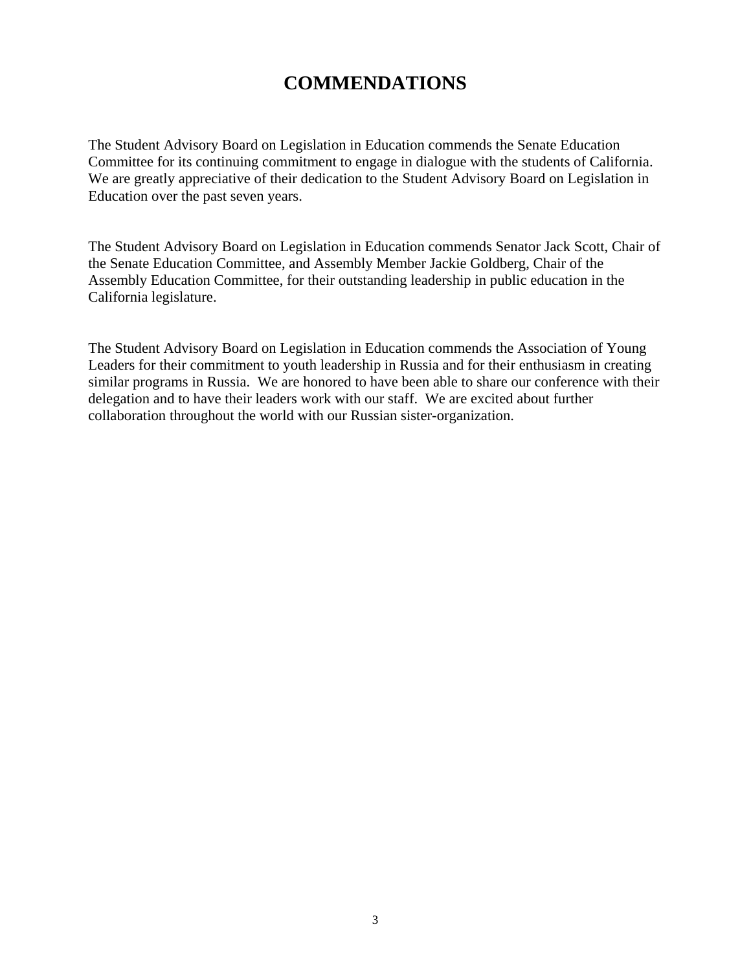# **COMMENDATIONS**

<span id="page-3-0"></span>The Student Advisory Board on Legislation in Education commends the Senate Education Committee for its continuing commitment to engage in dialogue with the students of California. We are greatly appreciative of their dedication to the Student Advisory Board on Legislation in Education over the past seven years.

The Student Advisory Board on Legislation in Education commends Senator Jack Scott, Chair of the Senate Education Committee, and Assembly Member Jackie Goldberg, Chair of the Assembly Education Committee, for their outstanding leadership in public education in the California legislature.

The Student Advisory Board on Legislation in Education commends the Association of Young Leaders for their commitment to youth leadership in Russia and for their enthusiasm in creating similar programs in Russia. We are honored to have been able to share our conference with their delegation and to have their leaders work with our staff. We are excited about further collaboration throughout the world with our Russian sister-organization.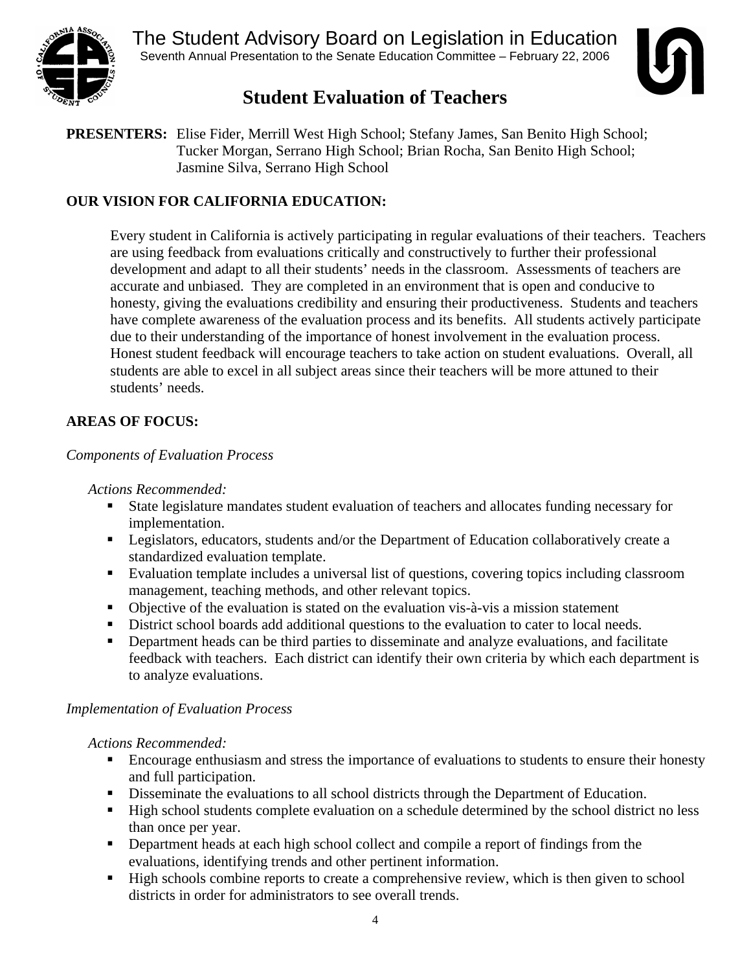<span id="page-4-0"></span>

The Student Advisory Board on Legislation in Education Seventh Annual Presentation to the Senate Education Committee – February 22, 2006



# **Student Evaluation of Teachers**

**PRESENTERS:** Elise Fider, Merrill West High School; Stefany James, San Benito High School; Tucker Morgan, Serrano High School; Brian Rocha, San Benito High School; Jasmine Silva, Serrano High School

## **OUR VISION FOR CALIFORNIA EDUCATION:**

Every student in California is actively participating in regular evaluations of their teachers. Teachers are using feedback from evaluations critically and constructively to further their professional development and adapt to all their students' needs in the classroom. Assessments of teachers are accurate and unbiased. They are completed in an environment that is open and conducive to honesty, giving the evaluations credibility and ensuring their productiveness. Students and teachers have complete awareness of the evaluation process and its benefits. All students actively participate due to their understanding of the importance of honest involvement in the evaluation process. Honest student feedback will encourage teachers to take action on student evaluations. Overall, all students are able to excel in all subject areas since their teachers will be more attuned to their students' needs.

# **AREAS OF FOCUS:**

## *Components of Evaluation Process*

#### *Actions Recommended:*

- State legislature mandates student evaluation of teachers and allocates funding necessary for implementation.
- **Exercise 1** Legislators, educators, students and/or the Department of Education collaboratively create a standardized evaluation template.
- Evaluation template includes a universal list of questions, covering topics including classroom management, teaching methods, and other relevant topics.
- Objective of the evaluation is stated on the evaluation vis-à-vis a mission statement
- District school boards add additional questions to the evaluation to cater to local needs.
- Department heads can be third parties to disseminate and analyze evaluations, and facilitate feedback with teachers. Each district can identify their own criteria by which each department is to analyze evaluations.

## *Implementation of Evaluation Process*

*Actions Recommended:* 

- Encourage enthusiasm and stress the importance of evaluations to students to ensure their honesty and full participation.
- Disseminate the evaluations to all school districts through the Department of Education.
- High school students complete evaluation on a schedule determined by the school district no less than once per year.
- **•** Department heads at each high school collect and compile a report of findings from the evaluations, identifying trends and other pertinent information.
- High schools combine reports to create a comprehensive review, which is then given to school districts in order for administrators to see overall trends.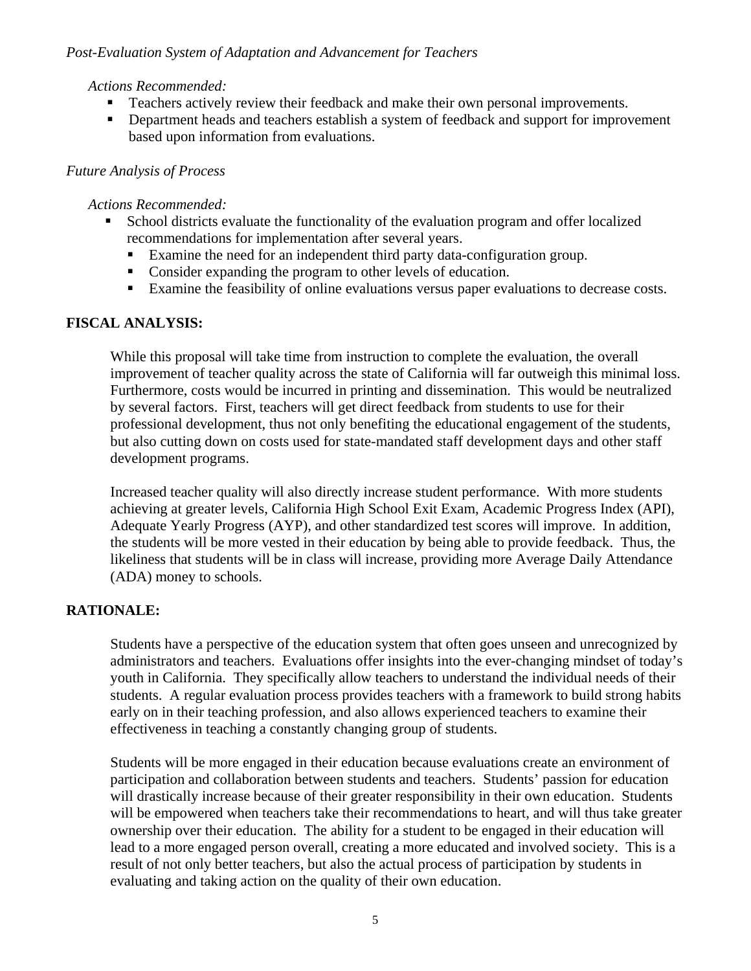#### *Post-Evaluation System of Adaptation and Advancement for Teachers*

#### *Actions Recommended:*

- Teachers actively review their feedback and make their own personal improvements.
- **•** Department heads and teachers establish a system of feedback and support for improvement based upon information from evaluations.

#### *Future Analysis of Process*

#### *Actions Recommended:*

- School districts evaluate the functionality of the evaluation program and offer localized recommendations for implementation after several years.
	- Examine the need for an independent third party data-configuration group.
	- Consider expanding the program to other levels of education.
	- Examine the feasibility of online evaluations versus paper evaluations to decrease costs.

#### **FISCAL ANALYSIS:**

While this proposal will take time from instruction to complete the evaluation, the overall improvement of teacher quality across the state of California will far outweigh this minimal loss. Furthermore, costs would be incurred in printing and dissemination. This would be neutralized by several factors. First, teachers will get direct feedback from students to use for their professional development, thus not only benefiting the educational engagement of the students, but also cutting down on costs used for state-mandated staff development days and other staff development programs.

Increased teacher quality will also directly increase student performance. With more students achieving at greater levels, California High School Exit Exam, Academic Progress Index (API), Adequate Yearly Progress (AYP), and other standardized test scores will improve. In addition, the students will be more vested in their education by being able to provide feedback. Thus, the likeliness that students will be in class will increase, providing more Average Daily Attendance (ADA) money to schools.

## **RATIONALE:**

Students have a perspective of the education system that often goes unseen and unrecognized by administrators and teachers. Evaluations offer insights into the ever-changing mindset of today's youth in California. They specifically allow teachers to understand the individual needs of their students. A regular evaluation process provides teachers with a framework to build strong habits early on in their teaching profession, and also allows experienced teachers to examine their effectiveness in teaching a constantly changing group of students.

Students will be more engaged in their education because evaluations create an environment of participation and collaboration between students and teachers. Students' passion for education will drastically increase because of their greater responsibility in their own education. Students will be empowered when teachers take their recommendations to heart, and will thus take greater ownership over their education. The ability for a student to be engaged in their education will lead to a more engaged person overall, creating a more educated and involved society. This is a result of not only better teachers, but also the actual process of participation by students in evaluating and taking action on the quality of their own education.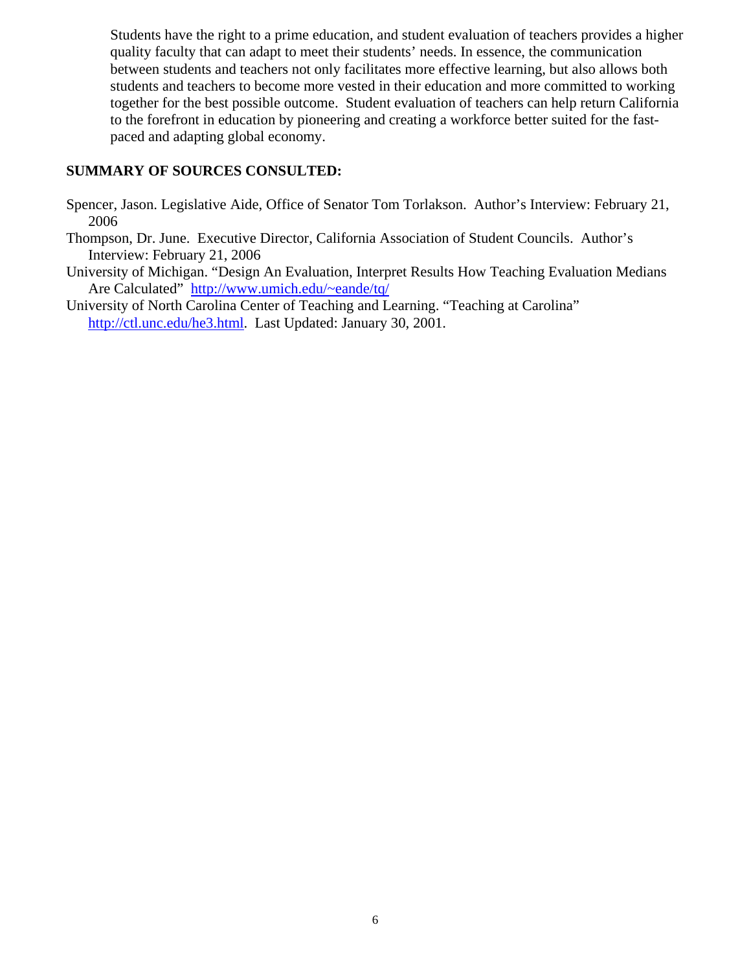Students have the right to a prime education, and student evaluation of teachers provides a higher quality faculty that can adapt to meet their students' needs. In essence, the communication between students and teachers not only facilitates more effective learning, but also allows both students and teachers to become more vested in their education and more committed to working together for the best possible outcome. Student evaluation of teachers can help return California to the forefront in education by pioneering and creating a workforce better suited for the fastpaced and adapting global economy.

#### **SUMMARY OF SOURCES CONSULTED:**

- Spencer, Jason. Legislative Aide, Office of Senator Tom Torlakson. Author's Interview: February 21, 2006
- Thompson, Dr. June. Executive Director, California Association of Student Councils. Author's Interview: February 21, 2006
- University of Michigan. "Design An Evaluation, Interpret Results How Teaching Evaluation Medians Are Calculated" [http://www.umich.edu/~eande/tq/](http://www.umich.edu/%7Eeande/tq/)
- University of North Carolina Center of Teaching and Learning. "Teaching at Carolina" [http://ctl.unc.edu/he3.html.](http://ctl.unc.edu/he3.html) Last Updated: January 30, 2001.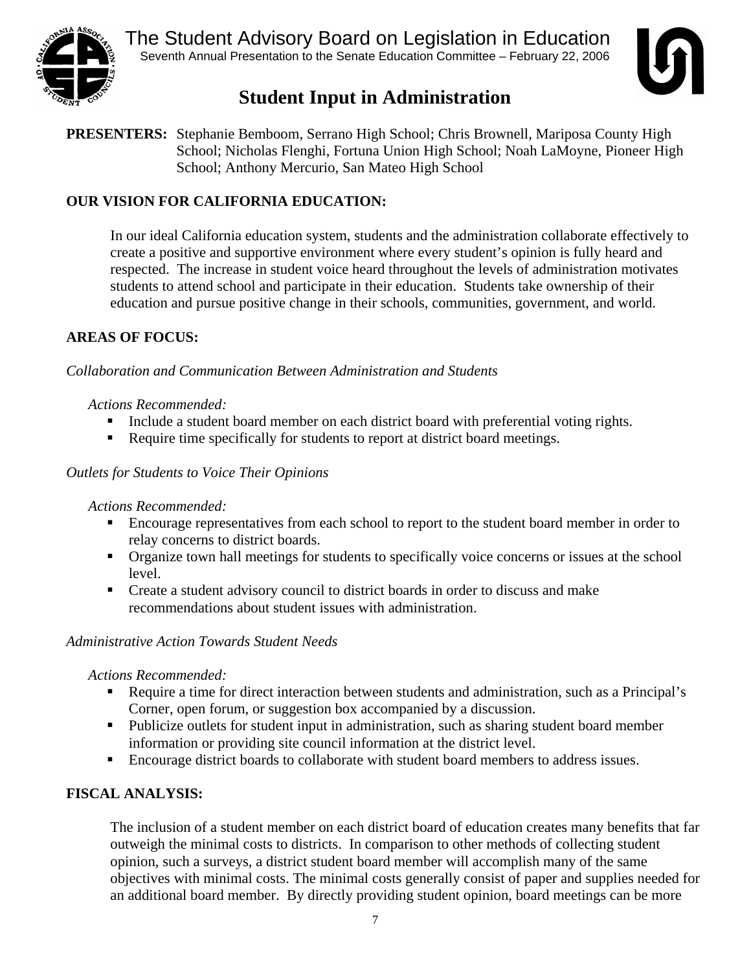<span id="page-7-0"></span>



# **Student Input in Administration**

**PRESENTERS:** Stephanie Bemboom, Serrano High School; Chris Brownell, Mariposa County High School; Nicholas Flenghi, Fortuna Union High School; Noah LaMoyne, Pioneer High School; Anthony Mercurio, San Mateo High School

# **OUR VISION FOR CALIFORNIA EDUCATION:**

In our ideal California education system, students and the administration collaborate effectively to create a positive and supportive environment where every student's opinion is fully heard and respected. The increase in student voice heard throughout the levels of administration motivates students to attend school and participate in their education. Students take ownership of their education and pursue positive change in their schools, communities, government, and world.

## **AREAS OF FOCUS:**

## *Collaboration and Communication Between Administration and Students*

## *Actions Recommended:*

- Include a student board member on each district board with preferential voting rights.
- Require time specifically for students to report at district board meetings.

## *Outlets for Students to Voice Their Opinions*

## *Actions Recommended:*

- Encourage representatives from each school to report to the student board member in order to relay concerns to district boards.
- Organize town hall meetings for students to specifically voice concerns or issues at the school level.
- Create a student advisory council to district boards in order to discuss and make recommendations about student issues with administration.

## *Administrative Action Towards Student Needs*

## *Actions Recommended:*

- Require a time for direct interaction between students and administration, such as a Principal's Corner, open forum, or suggestion box accompanied by a discussion.
- Publicize outlets for student input in administration, such as sharing student board member information or providing site council information at the district level.
- Encourage district boards to collaborate with student board members to address issues.

## **FISCAL ANALYSIS:**

The inclusion of a student member on each district board of education creates many benefits that far outweigh the minimal costs to districts. In comparison to other methods of collecting student opinion, such a surveys, a district student board member will accomplish many of the same objectives with minimal costs. The minimal costs generally consist of paper and supplies needed for an additional board member. By directly providing student opinion, board meetings can be more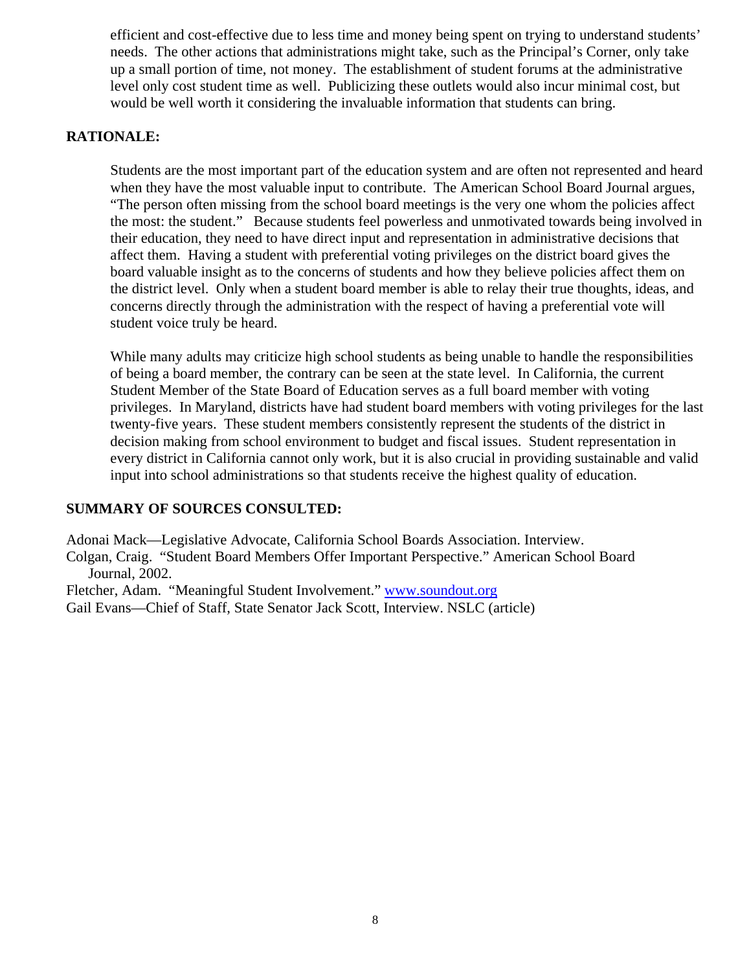efficient and cost-effective due to less time and money being spent on trying to understand students' needs. The other actions that administrations might take, such as the Principal's Corner, only take up a small portion of time, not money. The establishment of student forums at the administrative level only cost student time as well. Publicizing these outlets would also incur minimal cost, but would be well worth it considering the invaluable information that students can bring.

#### **RATIONALE:**

Students are the most important part of the education system and are often not represented and heard when they have the most valuable input to contribute. The American School Board Journal argues, "The person often missing from the school board meetings is the very one whom the policies affect the most: the student." Because students feel powerless and unmotivated towards being involved in their education, they need to have direct input and representation in administrative decisions that affect them. Having a student with preferential voting privileges on the district board gives the board valuable insight as to the concerns of students and how they believe policies affect them on the district level. Only when a student board member is able to relay their true thoughts, ideas, and concerns directly through the administration with the respect of having a preferential vote will student voice truly be heard.

While many adults may criticize high school students as being unable to handle the responsibilities of being a board member, the contrary can be seen at the state level. In California, the current Student Member of the State Board of Education serves as a full board member with voting privileges. In Maryland, districts have had student board members with voting privileges for the last twenty-five years. These student members consistently represent the students of the district in decision making from school environment to budget and fiscal issues. Student representation in every district in California cannot only work, but it is also crucial in providing sustainable and valid input into school administrations so that students receive the highest quality of education.

## **SUMMARY OF SOURCES CONSULTED:**

Adonai Mack—Legislative Advocate, California School Boards Association. Interview.

Colgan, Craig. "Student Board Members Offer Important Perspective." American School Board Journal, 2002.

Fletcher, Adam. "Meaningful Student Involvement." [www.soundout.org](http://www.soundout.org)

Gail Evans—Chief of Staff, State Senator Jack Scott, Interview. NSLC (article)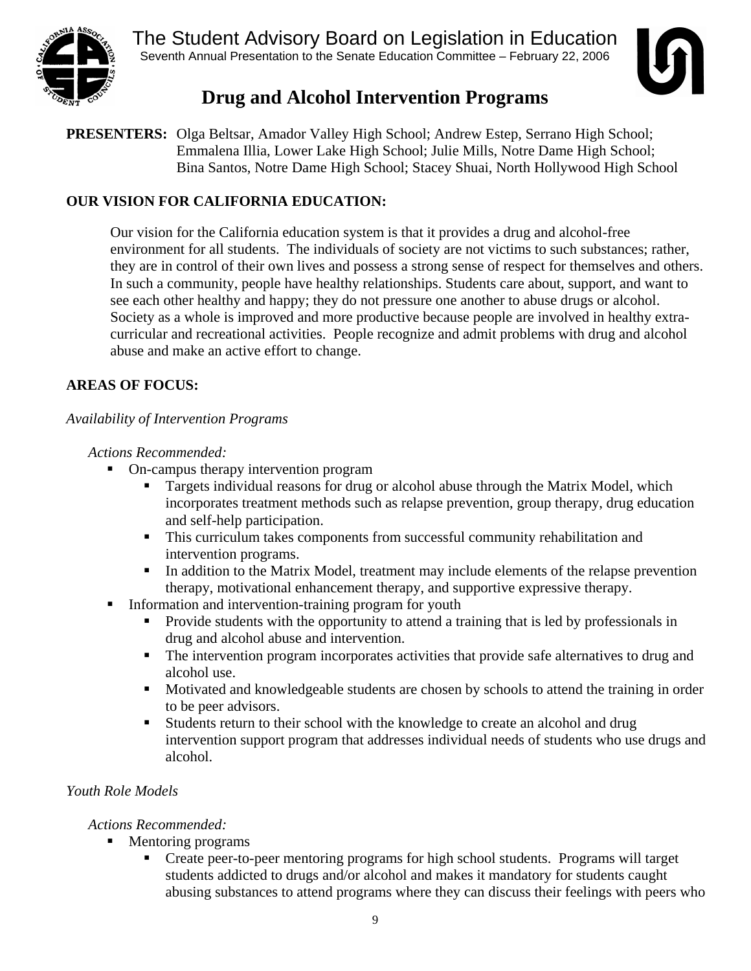<span id="page-9-0"></span>

The Student Advisory Board on Legislation in Education Seventh Annual Presentation to the Senate Education Committee – February 22, 2006



# **Drug and Alcohol Intervention Programs**

**PRESENTERS:** Olga Beltsar, Amador Valley High School; Andrew Estep, Serrano High School; Emmalena Illia, Lower Lake High School; Julie Mills, Notre Dame High School; Bina Santos, Notre Dame High School; Stacey Shuai, North Hollywood High School

## **OUR VISION FOR CALIFORNIA EDUCATION:**

Our vision for the California education system is that it provides a drug and alcohol-free environment for all students. The individuals of society are not victims to such substances; rather, they are in control of their own lives and possess a strong sense of respect for themselves and others. In such a community, people have healthy relationships. Students care about, support, and want to see each other healthy and happy; they do not pressure one another to abuse drugs or alcohol. Society as a whole is improved and more productive because people are involved in healthy extracurricular and recreational activities. People recognize and admit problems with drug and alcohol abuse and make an active effort to change.

## **AREAS OF FOCUS:**

*Availability of Intervention Programs* 

 *Actions Recommended:* 

- On-campus therapy intervention program
	- Targets individual reasons for drug or alcohol abuse through the Matrix Model, which incorporates treatment methods such as relapse prevention, group therapy, drug education and self-help participation.
	- This curriculum takes components from successful community rehabilitation and intervention programs.
	- In addition to the Matrix Model, treatment may include elements of the relapse prevention therapy, motivational enhancement therapy, and supportive expressive therapy.
- Information and intervention-training program for youth
	- **Provide students with the opportunity to attend a training that is led by professionals in** drug and alcohol abuse and intervention.
	- The intervention program incorporates activities that provide safe alternatives to drug and alcohol use.
	- Motivated and knowledgeable students are chosen by schools to attend the training in order to be peer advisors.
	- Students return to their school with the knowledge to create an alcohol and drug intervention support program that addresses individual needs of students who use drugs and alcohol.

## *Youth Role Models*

## *Actions Recommended:*

- Mentoring programs
	- Create peer-to-peer mentoring programs for high school students. Programs will target students addicted to drugs and/or alcohol and makes it mandatory for students caught abusing substances to attend programs where they can discuss their feelings with peers who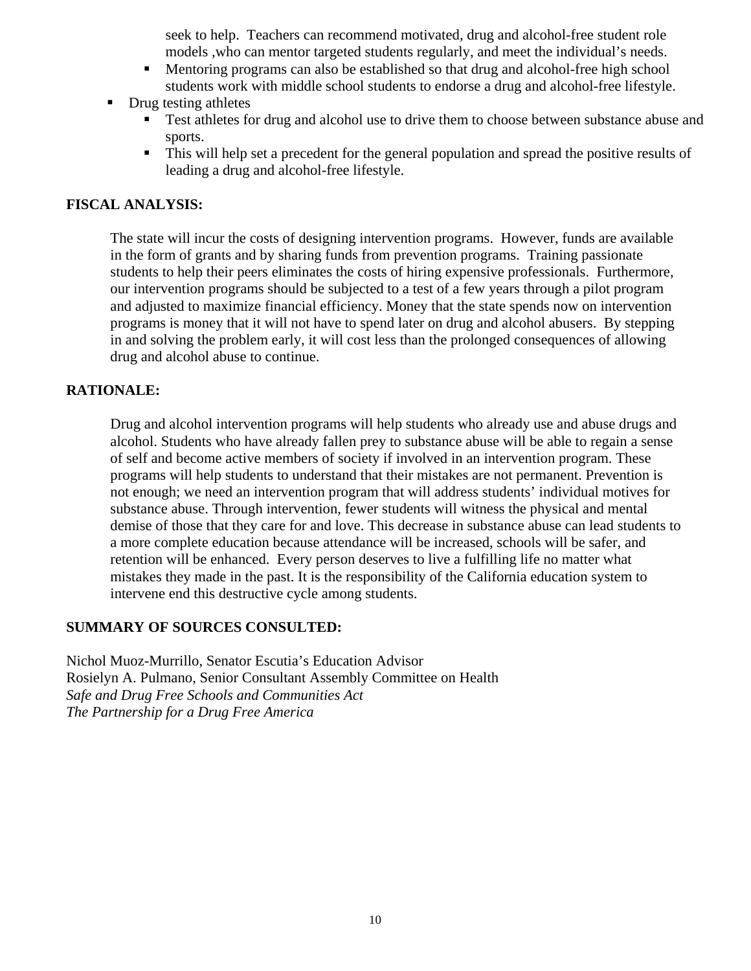seek to help. Teachers can recommend motivated, drug and alcohol-free student role models ,who can mentor targeted students regularly, and meet the individual's needs.

- Mentoring programs can also be established so that drug and alcohol-free high school students work with middle school students to endorse a drug and alcohol-free lifestyle.
- Drug testing athletes
	- Test athletes for drug and alcohol use to drive them to choose between substance abuse and sports.
	- This will help set a precedent for the general population and spread the positive results of leading a drug and alcohol-free lifestyle.

#### **FISCAL ANALYSIS:**

The state will incur the costs of designing intervention programs. However, funds are available in the form of grants and by sharing funds from prevention programs. Training passionate students to help their peers eliminates the costs of hiring expensive professionals. Furthermore, our intervention programs should be subjected to a test of a few years through a pilot program and adjusted to maximize financial efficiency. Money that the state spends now on intervention programs is money that it will not have to spend later on drug and alcohol abusers. By stepping in and solving the problem early, it will cost less than the prolonged consequences of allowing drug and alcohol abuse to continue.

#### **RATIONALE:**

Drug and alcohol intervention programs will help students who already use and abuse drugs and alcohol. Students who have already fallen prey to substance abuse will be able to regain a sense of self and become active members of society if involved in an intervention program. These programs will help students to understand that their mistakes are not permanent. Prevention is not enough; we need an intervention program that will address students' individual motives for substance abuse. Through intervention, fewer students will witness the physical and mental demise of those that they care for and love. This decrease in substance abuse can lead students to a more complete education because attendance will be increased, schools will be safer, and retention will be enhanced. Every person deserves to live a fulfilling life no matter what mistakes they made in the past. It is the responsibility of the California education system to intervene end this destructive cycle among students.

#### **SUMMARY OF SOURCES CONSULTED:**

Nichol Muoz-Murrillo, Senator Escutia's Education Advisor Rosielyn A. Pulmano, Senior Consultant Assembly Committee on Health *Safe and Drug Free Schools and Communities Act The Partnership for a Drug Free America*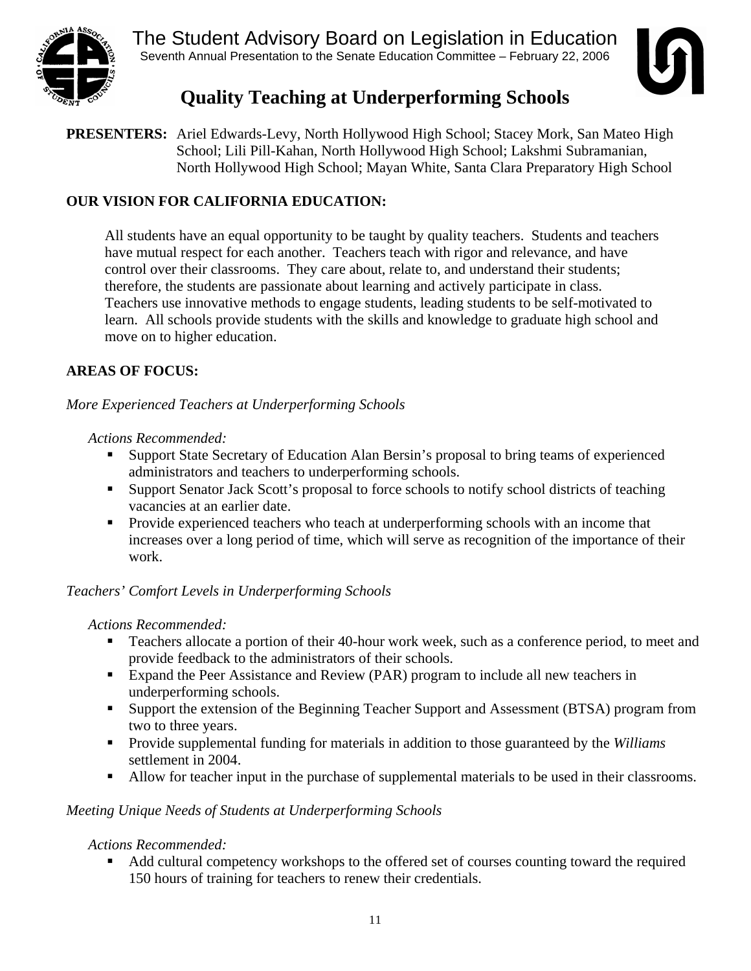<span id="page-11-0"></span>

The Student Advisory Board on Legislation in Education Seventh Annual Presentation to the Senate Education Committee – February 22, 2006



# **Quality Teaching at Underperforming Schools**

**PRESENTERS:** Ariel Edwards-Levy, North Hollywood High School; Stacey Mork, San Mateo High School; Lili Pill-Kahan, North Hollywood High School; Lakshmi Subramanian, North Hollywood High School; Mayan White, Santa Clara Preparatory High School

## **OUR VISION FOR CALIFORNIA EDUCATION:**

All students have an equal opportunity to be taught by quality teachers. Students and teachers have mutual respect for each another. Teachers teach with rigor and relevance, and have control over their classrooms. They care about, relate to, and understand their students; therefore, the students are passionate about learning and actively participate in class. Teachers use innovative methods to engage students, leading students to be self-motivated to learn. All schools provide students with the skills and knowledge to graduate high school and move on to higher education.

## **AREAS OF FOCUS:**

*More Experienced Teachers at Underperforming Schools* 

## *Actions Recommended:*

- Support State Secretary of Education Alan Bersin's proposal to bring teams of experienced administrators and teachers to underperforming schools.
- Support Senator Jack Scott's proposal to force schools to notify school districts of teaching vacancies at an earlier date.
- **Provide experienced teachers who teach at underperforming schools with an income that** increases over a long period of time, which will serve as recognition of the importance of their work.

## *Teachers' Comfort Levels in Underperforming Schools*

## *Actions Recommended:*

- Teachers allocate a portion of their 40-hour work week, such as a conference period, to meet and provide feedback to the administrators of their schools.
- Expand the Peer Assistance and Review (PAR) program to include all new teachers in underperforming schools.
- Support the extension of the Beginning Teacher Support and Assessment (BTSA) program from two to three years.
- Provide supplemental funding for materials in addition to those guaranteed by the *Williams* settlement in 2004.
- Allow for teacher input in the purchase of supplemental materials to be used in their classrooms.

## *Meeting Unique Needs of Students at Underperforming Schools*

## *Actions Recommended:*

 Add cultural competency workshops to the offered set of courses counting toward the required 150 hours of training for teachers to renew their credentials.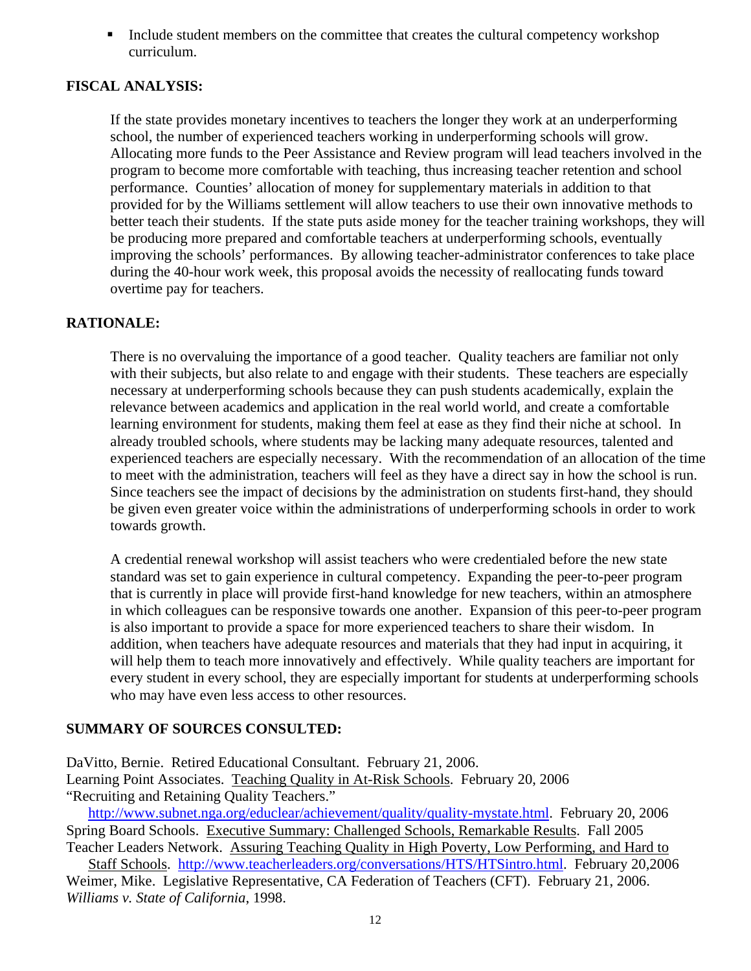Include student members on the committee that creates the cultural competency workshop curriculum.

#### **FISCAL ANALYSIS:**

If the state provides monetary incentives to teachers the longer they work at an underperforming school, the number of experienced teachers working in underperforming schools will grow. Allocating more funds to the Peer Assistance and Review program will lead teachers involved in the program to become more comfortable with teaching, thus increasing teacher retention and school performance. Counties' allocation of money for supplementary materials in addition to that provided for by the Williams settlement will allow teachers to use their own innovative methods to better teach their students. If the state puts aside money for the teacher training workshops, they will be producing more prepared and comfortable teachers at underperforming schools, eventually improving the schools' performances. By allowing teacher-administrator conferences to take place during the 40-hour work week, this proposal avoids the necessity of reallocating funds toward overtime pay for teachers.

#### **RATIONALE:**

There is no overvaluing the importance of a good teacher. Quality teachers are familiar not only with their subjects, but also relate to and engage with their students. These teachers are especially necessary at underperforming schools because they can push students academically, explain the relevance between academics and application in the real world world, and create a comfortable learning environment for students, making them feel at ease as they find their niche at school. In already troubled schools, where students may be lacking many adequate resources, talented and experienced teachers are especially necessary. With the recommendation of an allocation of the time to meet with the administration, teachers will feel as they have a direct say in how the school is run. Since teachers see the impact of decisions by the administration on students first-hand, they should be given even greater voice within the administrations of underperforming schools in order to work towards growth.

A credential renewal workshop will assist teachers who were credentialed before the new state standard was set to gain experience in cultural competency. Expanding the peer-to-peer program that is currently in place will provide first-hand knowledge for new teachers, within an atmosphere in which colleagues can be responsive towards one another. Expansion of this peer-to-peer program is also important to provide a space for more experienced teachers to share their wisdom. In addition, when teachers have adequate resources and materials that they had input in acquiring, it will help them to teach more innovatively and effectively. While quality teachers are important for every student in every school, they are especially important for students at underperforming schools who may have even less access to other resources.

## **SUMMARY OF SOURCES CONSULTED:**

DaVitto, Bernie. Retired Educational Consultant. February 21, 2006. Learning Point Associates. Teaching Quality in At-Risk Schools. February 20, 2006 "Recruiting and Retaining Quality Teachers."

[http://www.subnet.nga.org/educlear/achievement/quality/quality-mystate.html.](http://www.subnet.nga.org/educlear/achievement/quality/quality-mystate.html) February 20, 2006 Spring Board Schools. Executive Summary: Challenged Schools, Remarkable Results. Fall 2005

Teacher Leaders Network. Assuring Teaching Quality in High Poverty, Low Performing, and Hard to Staff Schools. <http://www.teacherleaders.org/conversations/HTS/HTSintro.html>. February 20,2006 Weimer, Mike. Legislative Representative, CA Federation of Teachers (CFT). February 21, 2006.

*Williams v. State of California*, 1998.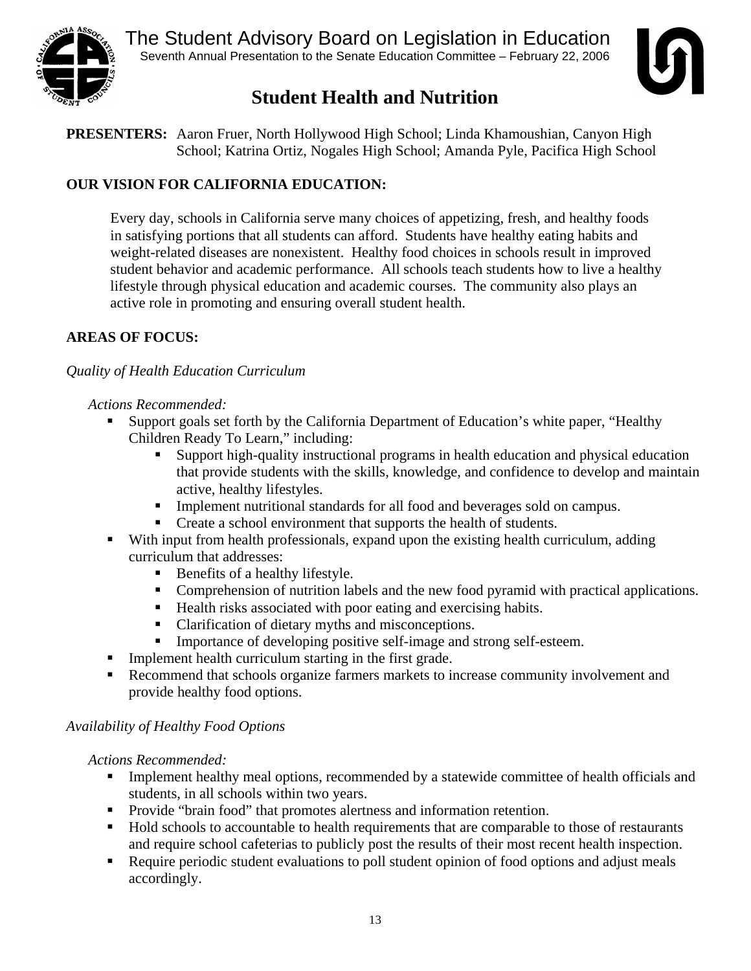<span id="page-13-0"></span>



# **Student Health and Nutrition**

**PRESENTERS:** Aaron Fruer, North Hollywood High School; Linda Khamoushian, Canyon High School; Katrina Ortiz, Nogales High School; Amanda Pyle, Pacifica High School

# **OUR VISION FOR CALIFORNIA EDUCATION:**

Every day, schools in California serve many choices of appetizing, fresh, and healthy foods in satisfying portions that all students can afford. Students have healthy eating habits and weight-related diseases are nonexistent. Healthy food choices in schools result in improved student behavior and academic performance. All schools teach students how to live a healthy lifestyle through physical education and academic courses. The community also plays an active role in promoting and ensuring overall student health.

## **AREAS OF FOCUS:**

## *Quality of Health Education Curriculum*

#### *Actions Recommended:*

- Support goals set forth by the California Department of Education's white paper, "Healthy Children Ready To Learn," including:
	- Support high-quality instructional programs in health education and physical education that provide students with the skills, knowledge, and confidence to develop and maintain active, healthy lifestyles.
	- **Implement nutritional standards for all food and beverages sold on campus.**
	- Create a school environment that supports the health of students.
- With input from health professionals, expand upon the existing health curriculum, adding curriculum that addresses:
	- Benefits of a healthy lifestyle.
	- Comprehension of nutrition labels and the new food pyramid with practical applications.
	- Health risks associated with poor eating and exercising habits.
	- Clarification of dietary myths and misconceptions.
	- Importance of developing positive self-image and strong self-esteem.
- **Implement health curriculum starting in the first grade.**
- Recommend that schools organize farmers markets to increase community involvement and provide healthy food options.

#### *Availability of Healthy Food Options*

*Actions Recommended:* 

- Implement healthy meal options, recommended by a statewide committee of health officials and students, in all schools within two years.
- Provide "brain food" that promotes alertness and information retention.
- Hold schools to accountable to health requirements that are comparable to those of restaurants and require school cafeterias to publicly post the results of their most recent health inspection.
- Require periodic student evaluations to poll student opinion of food options and adjust meals accordingly.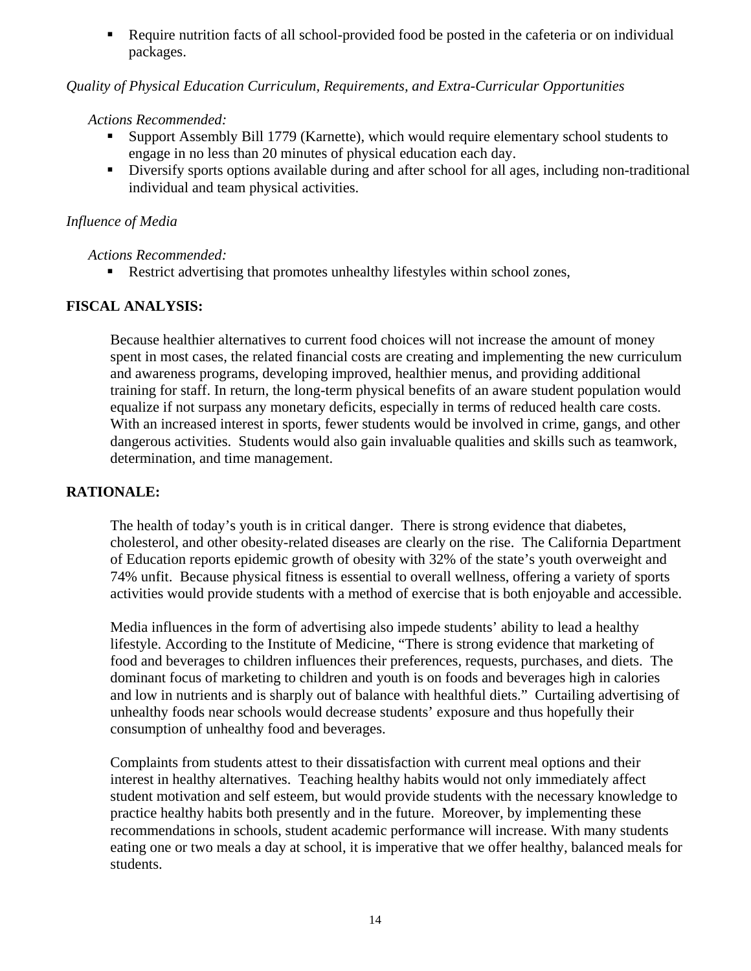Require nutrition facts of all school-provided food be posted in the cafeteria or on individual packages.

#### *Quality of Physical Education Curriculum, Requirements, and Extra-Curricular Opportunities*

#### *Actions Recommended:*

- Support Assembly Bill 1779 (Karnette), which would require elementary school students to engage in no less than 20 minutes of physical education each day.
- Diversify sports options available during and after school for all ages, including non-traditional individual and team physical activities.

#### *Influence of Media*

#### *Actions Recommended:*

Restrict advertising that promotes unhealthy lifestyles within school zones,

## **FISCAL ANALYSIS:**

Because healthier alternatives to current food choices will not increase the amount of money spent in most cases, the related financial costs are creating and implementing the new curriculum and awareness programs, developing improved, healthier menus, and providing additional training for staff. In return, the long-term physical benefits of an aware student population would equalize if not surpass any monetary deficits, especially in terms of reduced health care costs. With an increased interest in sports, fewer students would be involved in crime, gangs, and other dangerous activities. Students would also gain invaluable qualities and skills such as teamwork, determination, and time management.

## **RATIONALE:**

The health of today's youth is in critical danger. There is strong evidence that diabetes, cholesterol, and other obesity-related diseases are clearly on the rise. The California Department of Education reports epidemic growth of obesity with 32% of the state's youth overweight and 74% unfit. Because physical fitness is essential to overall wellness, offering a variety of sports activities would provide students with a method of exercise that is both enjoyable and accessible.

Media influences in the form of advertising also impede students' ability to lead a healthy lifestyle. According to the Institute of Medicine, "There is strong evidence that marketing of food and beverages to children influences their preferences, requests, purchases, and diets. The dominant focus of marketing to children and youth is on foods and beverages high in calories and low in nutrients and is sharply out of balance with healthful diets." Curtailing advertising of unhealthy foods near schools would decrease students' exposure and thus hopefully their consumption of unhealthy food and beverages.

Complaints from students attest to their dissatisfaction with current meal options and their interest in healthy alternatives. Teaching healthy habits would not only immediately affect student motivation and self esteem, but would provide students with the necessary knowledge to practice healthy habits both presently and in the future. Moreover, by implementing these recommendations in schools, student academic performance will increase. With many students eating one or two meals a day at school, it is imperative that we offer healthy, balanced meals for students.